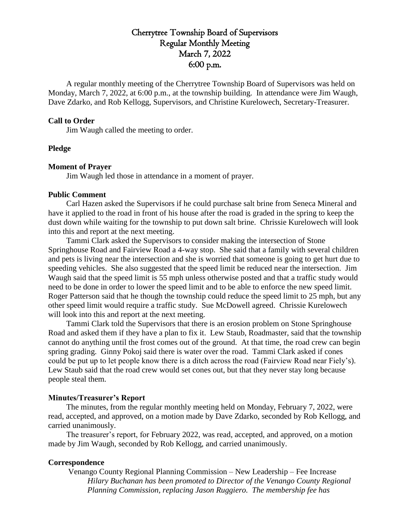# Cherrytree Township Board of Supervisors Regular Monthly Meeting March 7, 2022 6:00 p.m.

A regular monthly meeting of the Cherrytree Township Board of Supervisors was held on Monday, March 7, 2022, at 6:00 p.m., at the township building. In attendance were Jim Waugh, Dave Zdarko, and Rob Kellogg, Supervisors, and Christine Kurelowech, Secretary-Treasurer.

### **Call to Order**

Jim Waugh called the meeting to order.

# **Pledge**

### **Moment of Prayer**

Jim Waugh led those in attendance in a moment of prayer.

### **Public Comment**

Carl Hazen asked the Supervisors if he could purchase salt brine from Seneca Mineral and have it applied to the road in front of his house after the road is graded in the spring to keep the dust down while waiting for the township to put down salt brine. Chrissie Kurelowech will look into this and report at the next meeting.

Tammi Clark asked the Supervisors to consider making the intersection of Stone Springhouse Road and Fairview Road a 4-way stop. She said that a family with several children and pets is living near the intersection and she is worried that someone is going to get hurt due to speeding vehicles. She also suggested that the speed limit be reduced near the intersection. Jim Waugh said that the speed limit is 55 mph unless otherwise posted and that a traffic study would need to be done in order to lower the speed limit and to be able to enforce the new speed limit. Roger Patterson said that he though the township could reduce the speed limit to 25 mph, but any other speed limit would require a traffic study. Sue McDowell agreed. Chrissie Kurelowech will look into this and report at the next meeting.

Tammi Clark told the Supervisors that there is an erosion problem on Stone Springhouse Road and asked them if they have a plan to fix it. Lew Staub, Roadmaster, said that the township cannot do anything until the frost comes out of the ground. At that time, the road crew can begin spring grading. Ginny Pokoj said there is water over the road. Tammi Clark asked if cones could be put up to let people know there is a ditch across the road (Fairview Road near Fiely's). Lew Staub said that the road crew would set cones out, but that they never stay long because people steal them.

### **Minutes/Treasurer's Report**

The minutes, from the regular monthly meeting held on Monday, February 7, 2022, were read, accepted, and approved, on a motion made by Dave Zdarko, seconded by Rob Kellogg, and carried unanimously.

The treasurer's report, for February 2022, was read, accepted, and approved, on a motion made by Jim Waugh, seconded by Rob Kellogg, and carried unanimously.

#### **Correspondence**

Venango County Regional Planning Commission – New Leadership – Fee Increase *Hilary Buchanan has been promoted to Director of the Venango County Regional Planning Commission, replacing Jason Ruggiero. The membership fee has*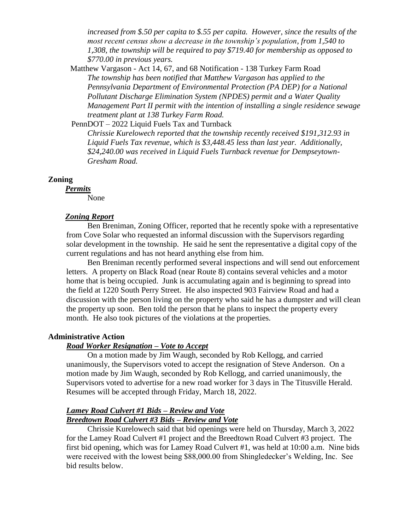*increased from \$.50 per capita to \$.55 per capita. However, since the results of the most recent census show a decrease in the township's population, from 1,540 to 1,308, the township will be required to pay \$719.40 for membership as opposed to \$770.00 in previous years.* 

 Matthew Vargason - Act 14, 67, and 68 Notification - 138 Turkey Farm Road *The township has been notified that Matthew Vargason has applied to the Pennsylvania Department of Environmental Protection (PA DEP) for a National Pollutant Discharge Elimination System (NPDES) permit and a Water Quality Management Part II permit with the intention of installing a single residence sewage treatment plant at 138 Turkey Farm Road.*

PennDOT – 2022 Liquid Fuels Tax and Turnback

*Chrissie Kurelowech reported that the township recently received \$191,312.93 in Liquid Fuels Tax revenue, which is \$3,448.45 less than last year. Additionally, \$24,240.00 was received in Liquid Fuels Turnback revenue for Dempseytown-Gresham Road.*

# **Zoning**

*Permits*

None

# *Zoning Report*

Ben Breniman, Zoning Officer, reported that he recently spoke with a representative from Cove Solar who requested an informal discussion with the Supervisors regarding solar development in the township. He said he sent the representative a digital copy of the current regulations and has not heard anything else from him.

Ben Breniman recently performed several inspections and will send out enforcement letters. A property on Black Road (near Route 8) contains several vehicles and a motor home that is being occupied. Junk is accumulating again and is beginning to spread into the field at 1220 South Perry Street. He also inspected 903 Fairview Road and had a discussion with the person living on the property who said he has a dumpster and will clean the property up soon. Ben told the person that he plans to inspect the property every month. He also took pictures of the violations at the properties.

# **Administrative Action**

# *Road Worker Resignation – Vote to Accept*

On a motion made by Jim Waugh, seconded by Rob Kellogg, and carried unanimously, the Supervisors voted to accept the resignation of Steve Anderson. On a motion made by Jim Waugh, seconded by Rob Kellogg, and carried unanimously, the Supervisors voted to advertise for a new road worker for 3 days in The Titusville Herald. Resumes will be accepted through Friday, March 18, 2022.

# *Lamey Road Culvert #1 Bids – Review and Vote Breedtown Road Culvert #3 Bids – Review and Vote*

Chrissie Kurelowech said that bid openings were held on Thursday, March 3, 2022 for the Lamey Road Culvert #1 project and the Breedtown Road Culvert #3 project. The first bid opening, which was for Lamey Road Culvert #1, was held at 10:00 a.m. Nine bids were received with the lowest being \$88,000.00 from Shingledecker's Welding, Inc. See bid results below.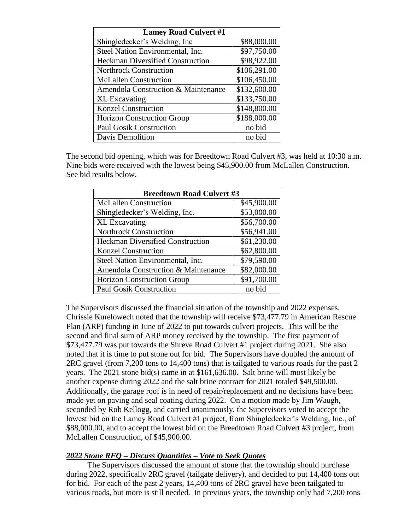| <b>Lamey Road Culvert #1</b>            |              |  |
|-----------------------------------------|--------------|--|
| Shingledecker's Welding, Inc            | \$88,000.00  |  |
| Steel Nation Environmental, Inc.        | \$97,750.00  |  |
| <b>Heckman Diversified Construction</b> | \$98,922.00  |  |
| <b>Northrock Construction</b>           | \$106,291.00 |  |
| <b>McLallen Construction</b>            | \$106,450.00 |  |
| Amendola Construction & Maintenance     | \$132,600.00 |  |
| <b>XL</b> Excavating                    | \$133,750.00 |  |
| <b>Konzel Construction</b>              | \$148,800.00 |  |
| <b>Horizon Construction Group</b>       | \$188,000.00 |  |
| <b>Paul Gosik Construction</b>          | no bid       |  |
| Davis Demolition                        | no bid       |  |

The second bid opening, which was for Breedtown Road Culvert #3, was held at 10:30 a.m. Nine bids were received with the lowest being \$45,900.00 from McLallen Construction. See bid results below.

| <b>Breedtown Road Culvert #3</b>        |             |  |
|-----------------------------------------|-------------|--|
| <b>McLallen Construction</b>            | \$45,900.00 |  |
| Shingledecker's Welding, Inc.           | \$53,000.00 |  |
| <b>XL</b> Excavating                    | \$56,700.00 |  |
| <b>Northrock Construction</b>           | \$56,941.00 |  |
| <b>Heckman Diversified Construction</b> | \$61,230.00 |  |
| <b>Konzel Construction</b>              | \$62,800.00 |  |
| Steel Nation Environmental, Inc.        | \$79,590.00 |  |
| Amendola Construction & Maintenance     | \$82,000.00 |  |
| <b>Horizon Construction Group</b>       | \$91,700.00 |  |
| <b>Paul Gosik Construction</b>          | no bid      |  |

The Supervisors discussed the financial situation of the township and 2022 expenses. Chrissie Kurelowech noted that the township will receive \$73,477.79 in American Rescue Plan (ARP) funding in June of 2022 to put towards culvert projects. This will be the second and final sum of ARP money received by the township. The first payment of \$73,477.79 was put towards the Shreve Road Culvert #1 project during 2021. She also noted that it is time to put stone out for bid. The Supervisors have doubled the amount of 2RC gravel (from 7,200 tons to 14,400 tons) that is tailgated to various roads for the past 2 years. The 2021 stone bid(s) came in at \$161,636.00. Salt brine will most likely be another expense during 2022 and the salt brine contract for 2021 totaled \$49,500.00. Additionally, the garage roof is in need of repair/replacement and no decisions have been made yet on paving and seal coating during 2022. On a motion made by Jim Waugh, seconded by Rob Kellogg, and carried unanimously, the Supervisors voted to accept the lowest bid on the Lamey Road Culvert #1 project, from Shingledecker's Welding, Inc., of \$88,000.00, and to accept the lowest bid on the Breedtown Road Culvert #3 project, from McLallen Construction, of \$45,900.00.

# *2022 Stone RFQ – Discuss Quantities – Vote to Seek Quotes*

The Supervisors discussed the amount of stone that the township should purchase during 2022, specifically 2RC gravel (tailgate delivery), and decided to put 14,400 tons out for bid. For each of the past 2 years, 14,400 tons of 2RC gravel have been tailgated to various roads, but more is still needed. In previous years, the township only had 7,200 tons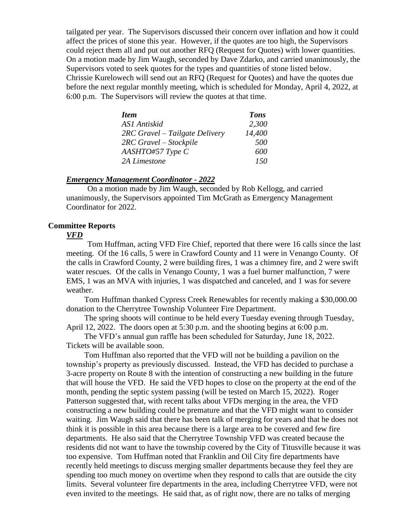tailgated per year. The Supervisors discussed their concern over inflation and how it could affect the prices of stone this year. However, if the quotes are too high, the Supervisors could reject them all and put out another RFQ (Request for Quotes) with lower quantities. On a motion made by Jim Waugh, seconded by Dave Zdarko, and carried unanimously, the Supervisors voted to seek quotes for the types and quantities of stone listed below. Chrissie Kurelowech will send out an RFQ (Request for Quotes) and have the quotes due before the next regular monthly meeting, which is scheduled for Monday, April 4, 2022, at 6:00 p.m. The Supervisors will review the quotes at that time.

| <b>Item</b>                    | <b>Tons</b> |
|--------------------------------|-------------|
| ASI Antiskid                   | 2,300       |
| 2RC Gravel – Tailgate Delivery | 14,400      |
| 2RC Gravel – Stockpile         | 500         |
| $AASHTO\#57 Type C$            | 600         |
| 2A Limestone                   | 150         |

#### *Emergency Management Coordinator - 2022*

On a motion made by Jim Waugh, seconded by Rob Kellogg, and carried unanimously, the Supervisors appointed Tim McGrath as Emergency Management Coordinator for 2022.

# **Committee Reports**

#### *VFD*

Tom Huffman, acting VFD Fire Chief, reported that there were 16 calls since the last meeting. Of the 16 calls, 5 were in Crawford County and 11 were in Venango County. Of the calls in Crawford County, 2 were building fires, 1 was a chimney fire, and 2 were swift water rescues. Of the calls in Venango County, 1 was a fuel burner malfunction, 7 were EMS, 1 was an MVA with injuries, 1 was dispatched and canceled, and 1 was for severe weather.

Tom Huffman thanked Cypress Creek Renewables for recently making a \$30,000.00 donation to the Cherrytree Township Volunteer Fire Department.

The spring shoots will continue to be held every Tuesday evening through Tuesday, April 12, 2022. The doors open at 5:30 p.m. and the shooting begins at 6:00 p.m.

The VFD's annual gun raffle has been scheduled for Saturday, June 18, 2022. Tickets will be available soon.

Tom Huffman also reported that the VFD will not be building a pavilion on the township's property as previously discussed. Instead, the VFD has decided to purchase a 3-acre property on Route 8 with the intention of constructing a new building in the future that will house the VFD. He said the VFD hopes to close on the property at the end of the month, pending the septic system passing (will be tested on March 15, 2022). Roger Patterson suggested that, with recent talks about VFDs merging in the area, the VFD constructing a new building could be premature and that the VFD might want to consider waiting. Jim Waugh said that there has been talk of merging for years and that he does not think it is possible in this area because there is a large area to be covered and few fire departments. He also said that the Cherrytree Township VFD was created because the residents did not want to have the township covered by the City of Titusville because it was too expensive. Tom Huffman noted that Franklin and Oil City fire departments have recently held meetings to discuss merging smaller departments because they feel they are spending too much money on overtime when they respond to calls that are outside the city limits. Several volunteer fire departments in the area, including Cherrytree VFD, were not even invited to the meetings. He said that, as of right now, there are no talks of merging